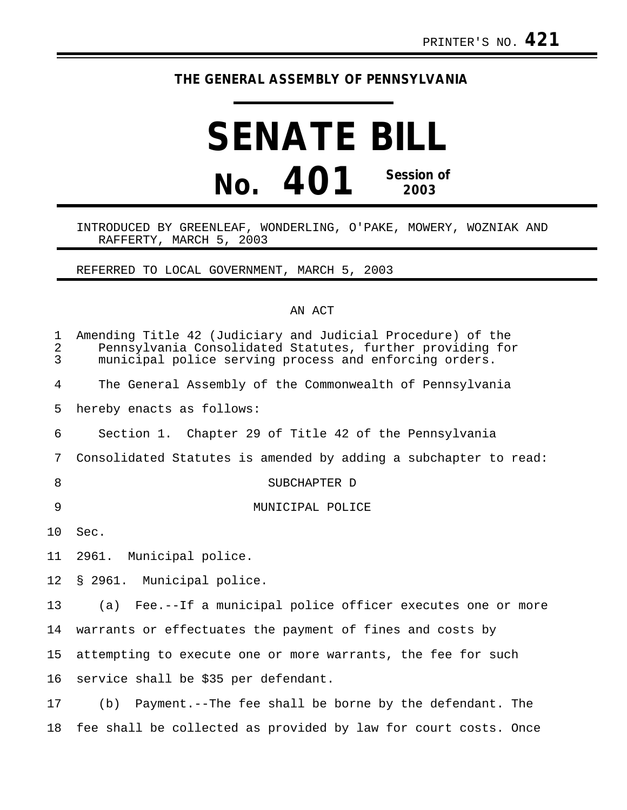## **THE GENERAL ASSEMBLY OF PENNSYLVANIA**

## **SENATE BILL No. 401 Session of 2003**

## INTRODUCED BY GREENLEAF, WONDERLING, O'PAKE, MOWERY, WOZNIAK AND RAFFERTY, MARCH 5, 2003

REFERRED TO LOCAL GOVERNMENT, MARCH 5, 2003

## AN ACT

| 1<br>$\sqrt{2}$<br>$\overline{3}$ | Amending Title 42 (Judiciary and Judicial Procedure) of the<br>Pennsylvania Consolidated Statutes, further providing for<br>municipal police serving process and enforcing orders. |
|-----------------------------------|------------------------------------------------------------------------------------------------------------------------------------------------------------------------------------|
| 4                                 | The General Assembly of the Commonwealth of Pennsylvania                                                                                                                           |
| 5                                 | hereby enacts as follows:                                                                                                                                                          |
| 6                                 | Section 1. Chapter 29 of Title 42 of the Pennsylvania                                                                                                                              |
| 7                                 | Consolidated Statutes is amended by adding a subchapter to read:                                                                                                                   |
| 8                                 | SUBCHAPTER D                                                                                                                                                                       |
| 9                                 | MUNICIPAL POLICE                                                                                                                                                                   |
| 10                                | Sec.                                                                                                                                                                               |
| 11                                | 2961. Municipal police.                                                                                                                                                            |
| 12                                | § 2961. Municipal police.                                                                                                                                                          |
| 13                                | (a) Fee.--If a municipal police officer executes one or more                                                                                                                       |
| 14                                | warrants or effectuates the payment of fines and costs by                                                                                                                          |
| 15                                | attempting to execute one or more warrants, the fee for such                                                                                                                       |
| 16                                | service shall be \$35 per defendant.                                                                                                                                               |
| 17                                | Payment.--The fee shall be borne by the defendant. The<br>(b)                                                                                                                      |
|                                   |                                                                                                                                                                                    |

18 fee shall be collected as provided by law for court costs. Once